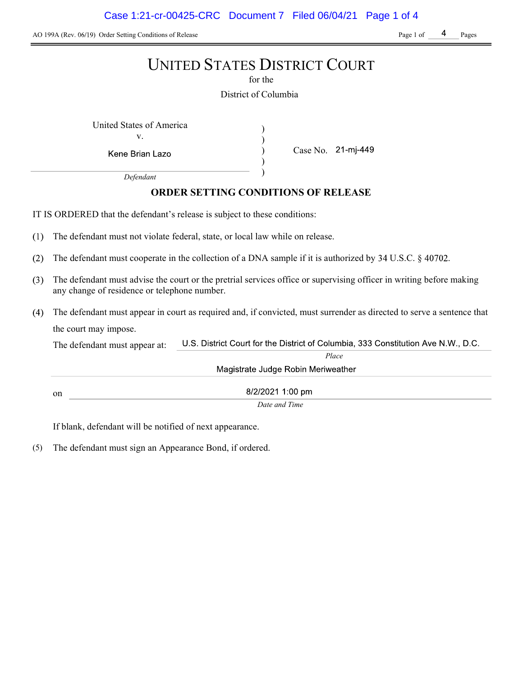AO 199A (Rev. 06/19) Order Setting Conditions of Release Page 1 of Pages Page 1 of Pages

## UNITED STATES DISTRICT COURT

for the

District of Columbia

) ) ) )

United States of America (1992) v.

Kene Brian Lazo

Case No. 21-mj-449

Defendant

## ORDER SETTING CONDITIONS OF RELEASE

IT IS ORDERED that the defendant's release is subject to these conditions:

- $(1)$ The defendant must not violate federal, state, or local law while on release.
- $(2)$ The defendant must cooperate in the collection of a DNA sample if it is authorized by  $34 \text{ U.S.C.}$   $\S$  40702.
- The defendant must advise the court or the pretrial services office or supervising officer in writing before making  $(3)$ any change of residence or telephone number.
- The defendant must appear in court as required and, if convicted, must surrender as directed to serve a sentence that the court may impose.

U.S. District Court for the District of Columbia, 333 Constitution Ave N.W., D.C. The defendant must appear at: Place Magistrate Judge Robin Meriweather

on

8/2/2021 1:00 pm Date and Time

If blank, defendant will be notified of next appearance.

(5) The defendant must sign an Appearance Bond, if ordered.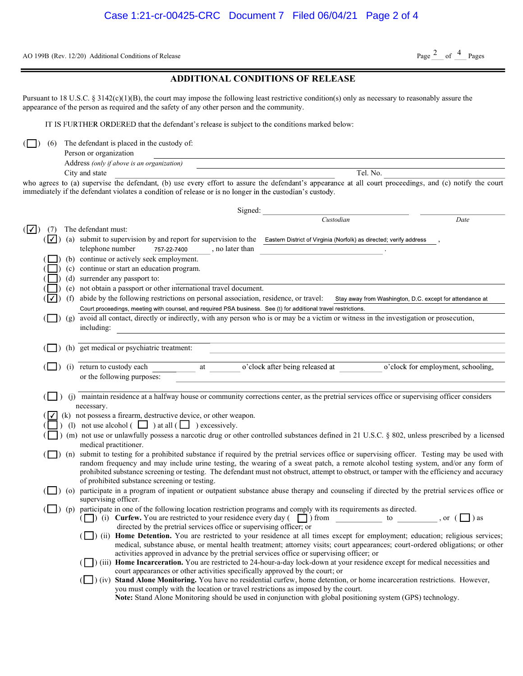AO 199B (Rev. 12/20) Additional Conditions of Release

## Page  $2$  of  $4$  Pages

|  | <b>ADDITIONAL CONDITIONS OF RELEASE</b> |  |
|--|-----------------------------------------|--|
|--|-----------------------------------------|--|

Pursuant to 18 U.S.C. § 3142(c)(1)(B), the court may impose the following least restrictive condition(s) only as necessary to reasonably assure the appearance of the person as required and the safety of any other person and the community.

IT IS FURTHER ORDERED that the defendant's release is subject to the conditions marked below:

 $\Box$ ) (6) The defendant is placed in the custody of:

| Person or organization                     |          |
|--------------------------------------------|----------|
| Address (only if above is an organization) |          |
| City and state                             | Tel. No. |

who agrees to (a) supervise the defendant, (b) use every effort to assure the defendant's appearance at all court proceedings, and (c) notify the court immediately if the defendant violates a condition of release or is no longer in the custodian's custody.

|                   |            |                                                                                                                                               |             |                 | Signed: |                                                                                                                                             |           |                                                                                                                                                                                                                                                                                  |
|-------------------|------------|-----------------------------------------------------------------------------------------------------------------------------------------------|-------------|-----------------|---------|---------------------------------------------------------------------------------------------------------------------------------------------|-----------|----------------------------------------------------------------------------------------------------------------------------------------------------------------------------------------------------------------------------------------------------------------------------------|
|                   |            |                                                                                                                                               |             |                 |         |                                                                                                                                             | Custodian | Date                                                                                                                                                                                                                                                                             |
| $( \mathcal{V} )$ | (7)        | The defendant must:                                                                                                                           |             |                 |         |                                                                                                                                             |           |                                                                                                                                                                                                                                                                                  |
|                   | $( \vee )$ |                                                                                                                                               |             |                 |         | (a) submit to supervision by and report for supervision to the Eastern District of Virginia (Norfolk) as directed; verify address           |           |                                                                                                                                                                                                                                                                                  |
|                   |            | telephone number                                                                                                                              | 757-22-7400 | , no later than |         |                                                                                                                                             |           |                                                                                                                                                                                                                                                                                  |
|                   |            | (b) continue or actively seek employment.                                                                                                     |             |                 |         |                                                                                                                                             |           |                                                                                                                                                                                                                                                                                  |
|                   |            | (c) continue or start an education program.                                                                                                   |             |                 |         |                                                                                                                                             |           |                                                                                                                                                                                                                                                                                  |
|                   |            | (d) surrender any passport to:                                                                                                                |             |                 |         |                                                                                                                                             |           |                                                                                                                                                                                                                                                                                  |
|                   |            | (e) not obtain a passport or other international travel document.                                                                             |             |                 |         |                                                                                                                                             |           |                                                                                                                                                                                                                                                                                  |
|                   | ⅂✓         |                                                                                                                                               |             |                 |         | (f) abide by the following restrictions on personal association, residence, or travel:                                                      |           | Stay away from Washington, D.C. except for attendance at                                                                                                                                                                                                                         |
|                   |            |                                                                                                                                               |             |                 |         | Court proceedings, meeting with counsel, and required PSA business. See (t) for additional travel restrictions.                             |           |                                                                                                                                                                                                                                                                                  |
|                   |            |                                                                                                                                               |             |                 |         | (g) avoid all contact, directly or indirectly, with any person who is or may be a victim or witness in the investigation or prosecution,    |           |                                                                                                                                                                                                                                                                                  |
|                   |            | including:                                                                                                                                    |             |                 |         |                                                                                                                                             |           |                                                                                                                                                                                                                                                                                  |
|                   |            | (h) get medical or psychiatric treatment:                                                                                                     |             |                 |         |                                                                                                                                             |           |                                                                                                                                                                                                                                                                                  |
|                   |            |                                                                                                                                               |             |                 |         |                                                                                                                                             |           |                                                                                                                                                                                                                                                                                  |
|                   |            | (i) return to custody each                                                                                                                    |             | at              |         | o'clock after being released at                                                                                                             |           | o'clock for employment, schooling,                                                                                                                                                                                                                                               |
|                   |            | or the following purposes:                                                                                                                    |             |                 |         |                                                                                                                                             |           |                                                                                                                                                                                                                                                                                  |
|                   |            |                                                                                                                                               |             |                 |         |                                                                                                                                             |           |                                                                                                                                                                                                                                                                                  |
|                   |            |                                                                                                                                               |             |                 |         | (j) maintain residence at a halfway house or community corrections center, as the pretrial services office or supervising officer considers |           |                                                                                                                                                                                                                                                                                  |
|                   |            | necessary.                                                                                                                                    |             |                 |         |                                                                                                                                             |           |                                                                                                                                                                                                                                                                                  |
|                   |            | (k) not possess a firearm, destructive device, or other weapon.                                                                               |             |                 |         |                                                                                                                                             |           |                                                                                                                                                                                                                                                                                  |
|                   |            | (1) not use alcohol $\begin{pmatrix} \square \\ \square \end{pmatrix}$ at all $\begin{pmatrix} \square \\ \square \end{pmatrix}$ excessively. |             |                 |         |                                                                                                                                             |           |                                                                                                                                                                                                                                                                                  |
|                   |            |                                                                                                                                               |             |                 |         |                                                                                                                                             |           | (m) not use or unlawfully possess a narcotic drug or other controlled substances defined in 21 U.S.C. § 802, unless prescribed by a licensed                                                                                                                                     |
|                   |            | medical practitioner.                                                                                                                         |             |                 |         |                                                                                                                                             |           |                                                                                                                                                                                                                                                                                  |
|                   |            |                                                                                                                                               |             |                 |         |                                                                                                                                             |           | (n) submit to testing for a prohibited substance if required by the pretrial services office or supervising officer. Testing may be used with                                                                                                                                    |
|                   |            |                                                                                                                                               |             |                 |         |                                                                                                                                             |           | random frequency and may include urine testing, the wearing of a sweat patch, a remote alcohol testing system, and/or any form of<br>prohibited substance screening or testing. The defendant must not obstruct, attempt to obstruct, or tamper with the efficiency and accuracy |
|                   |            | of prohibited substance screening or testing.                                                                                                 |             |                 |         |                                                                                                                                             |           |                                                                                                                                                                                                                                                                                  |
|                   |            |                                                                                                                                               |             |                 |         |                                                                                                                                             |           | (o) participate in a program of inpatient or outpatient substance abuse therapy and counseling if directed by the pretrial services office or                                                                                                                                    |
|                   |            | supervising officer.                                                                                                                          |             |                 |         |                                                                                                                                             |           |                                                                                                                                                                                                                                                                                  |
|                   |            |                                                                                                                                               |             |                 |         | (p) participate in one of the following location restriction programs and comply with its requirements as directed.                         |           |                                                                                                                                                                                                                                                                                  |
|                   |            |                                                                                                                                               |             |                 |         | ( ) (i) Curfew. You are restricted to your residence every day ( $\Box$ ) from to to , or ( $\Box$ ) as                                     |           |                                                                                                                                                                                                                                                                                  |
|                   |            |                                                                                                                                               |             |                 |         | directed by the pretrial services office or supervising officer; or                                                                         |           |                                                                                                                                                                                                                                                                                  |
|                   |            |                                                                                                                                               |             |                 |         |                                                                                                                                             |           | (ii) Home Detention. You are restricted to your residence at all times except for employment; education; religious services;<br>medical, substance abuse, or mental health treatment; attorney visits; court appearances; court-ordered obligations; or other                    |
|                   |            |                                                                                                                                               |             |                 |         | activities approved in advance by the pretrial services office or supervising officer; or                                                   |           |                                                                                                                                                                                                                                                                                  |
|                   |            |                                                                                                                                               |             |                 |         | (iii) Home Incarceration. You are restricted to 24-hour-a-day lock-down at your residence except for medical necessities and                |           |                                                                                                                                                                                                                                                                                  |
|                   |            |                                                                                                                                               |             |                 |         | court appearances or other activities specifically approved by the court; or                                                                |           |                                                                                                                                                                                                                                                                                  |
|                   |            |                                                                                                                                               |             |                 |         | (iv) Stand Alone Monitoring. You have no residential curfew, home detention, or home incarceration restrictions. However,                   |           |                                                                                                                                                                                                                                                                                  |
|                   |            |                                                                                                                                               |             |                 |         | you must comply with the location or travel restrictions as imposed by the court.                                                           |           |                                                                                                                                                                                                                                                                                  |
|                   |            |                                                                                                                                               |             |                 |         | Note: Stand Alone Monitoring should be used in conjunction with global positioning system (GPS) technology.                                 |           |                                                                                                                                                                                                                                                                                  |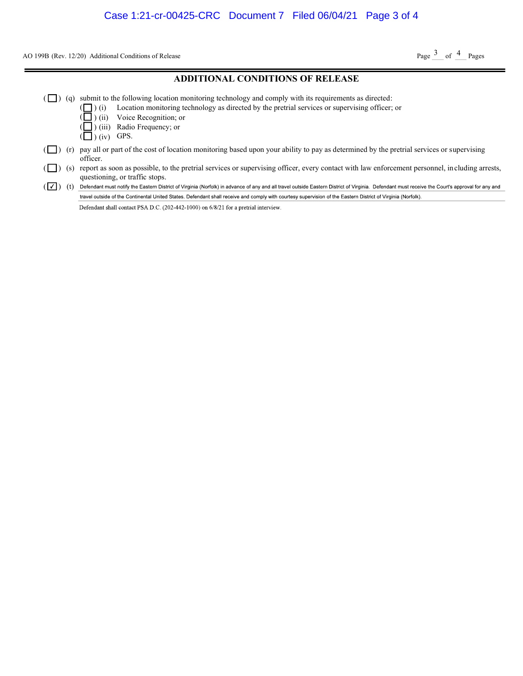AO 199B (Rev. 12/20) Additional Conditions of Release

Page  $3$  of  $4$  Pages

#### ADDITIONAL CONDITIONS OF RELEASE  $(\Box)$  (q) submit to the following location monitoring technology and comply with its requirements as directed: ( ) (i) Location monitoring technology as directed by the pretrial services or supervising officer; or ( ) (ii) Voice Recognition; or ( ) (iii) Radio Frequency; or  $\left(\Box\right)$  (iv) GPS.  $(\Box)$  (r) pay all or part of the cost of location monitoring based upon your ability to pay as determined by the pretrial services or supervising officer. ( $\Box$ ) (s) report as soon as possible, to the pretrial services or supervising officer, every contact with law enforcement personnel, including arrests, questioning, or traffic stops. (V) Oefendant must notify the Eastern District of Virginia (Norfolk) in advance of any and all travel outside Eastern District of Virginia. Defendant must receive the Court's approval for any and travel outside of the Continental United States. Defendant shall receive and comply with courtesy supervision of the Eastern District of Virginia (Norfolk). Defendant shall contact PSA D.C. (202-442-1000) on 6/8/21 for a pretrial interview.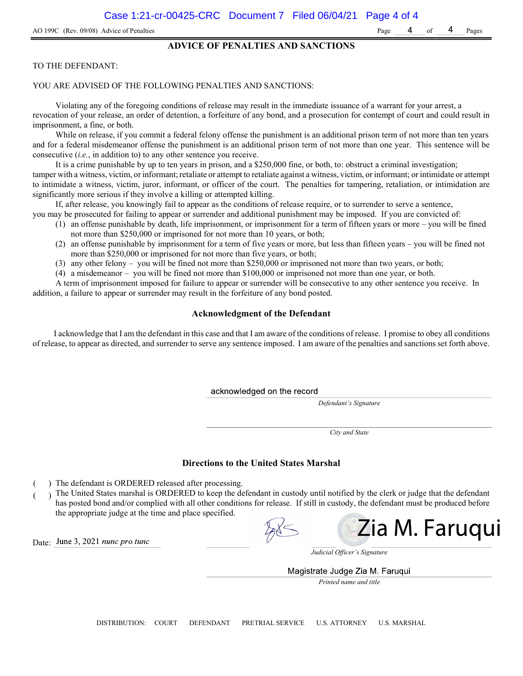#### ADVICE OF PENALTIES AND SANCTIONS

#### TO THE DEFENDANT:

#### YOU ARE ADVISED OF THE FOLLOWING PENALTIES AND SANCTIONS:

Violating any of the foregoing conditions of release may result in the immediate issuance of a warrant for your arrest, a revocation of your release, an order of detention, a forfeiture of any bond, and a prosecution for contempt of court and could result in imprisonment, a fine, or both.

While on release, if you commit a federal felony offense the punishment is an additional prison term of not more than ten years and for a federal misdemeanor offense the punishment is an additional prison term of not more than one year. This sentence will be consecutive (i.e., in addition to) to any other sentence you receive.

It is a crime punishable by up to ten years in prison, and a \$250,000 fine, or both, to: obstruct a criminal investigation; tamper with a witness, victim, or informant; retaliate or attempt to retaliate against a witness, victim, or informant; or intimidate or attempt to intimidate a witness, victim, juror, informant, or officer of the court. The penalties for tampering, retaliation, or intimidation are significantly more serious if they involve a killing or attempted killing.

If, after release, you knowingly fail to appear as the conditions of release require, or to surrender to serve a sentence,

- you may be prosecuted for failing to appear or surrender and additional punishment may be imposed. If you are convicted of: (1) an offense punishable by death, life imprisonment, or imprisonment for a term of fifteen years or more – you will be fined
	- not more than \$250,000 or imprisoned for not more than 10 years, or both;
	- (2) an offense punishable by imprisonment for a term of five years or more, but less than fifteen years you will be fined not more than \$250,000 or imprisoned for not more than five years, or both;
	- (3) any other felony you will be fined not more than \$250,000 or imprisoned not more than two years, or both;
	- (4) a misdemeanor you will be fined not more than \$100,000 or imprisoned not more than one year, or both.

A term of imprisonment imposed for failure to appear or surrender will be consecutive to any other sentence you receive. In addition, a failure to appear or surrender may result in the forfeiture of any bond posted.

#### Acknowledgment of the Defendant

I acknowledge that I am the defendant in this case and that I am aware of the conditions of release. I promise to obey all conditions of release, to appear as directed, and surrender to serve any sentence imposed. I am aware of the penalties and sanctions set forth above.

acknowledged on the record

Defendant's Signature

City and State

#### Directions to the United States Marshal

- ) The defendant is ORDERED released after processing.
- ) The United States marshal is ORDERED to keep the defendant in custody until notified by the clerk or judge that the defendant has posted bond and/or complied with all other conditions for release. If still in custody, the defendant must be produced before the appropriate judge at the time and place specified.

Zia M. Faruqui

Date: June 3, 2021 nunc pro tunc

Judicial Officer's Signature

Magistrate Judge Zia M. Faruqui

Printed name and title

DISTRIBUTION: COURT DEFENDANT PRETRIAL SERVICE U.S. ATTORNEY U.S. MARSHAL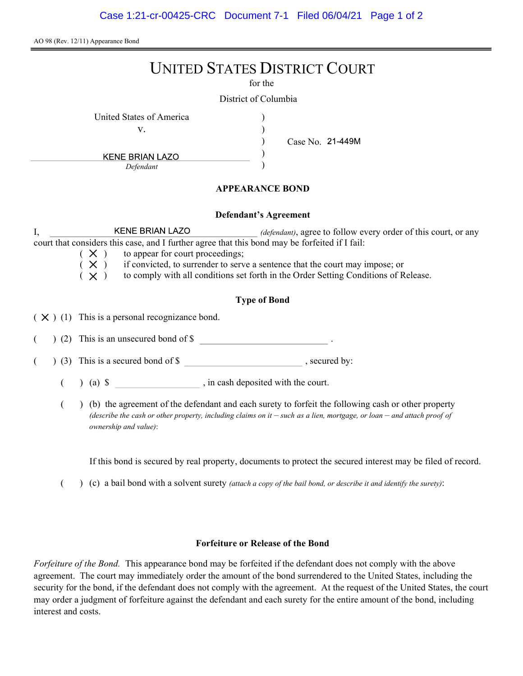AO 98 (Rev. 12/11) Appearance Bond

# UNITED STATES DISTRICT COURT

for the

) ) ) )

District of Columbia

United States of America (1996)

v.

Case No.

**KENE BRIAN LAZO** Defendant

### APPEARANCE BOND

#### Defendant's Agreement

I, KENE BRIAN LAZO *(defendant)*, agree to follow every order of this court, or any court that considers this case, and I further agree that this bond may be forfeited if I fail:

- $(X)$  to appear for court proceedings;
- $(X)$  if convicted, to surrender to serve a sentence that the court may impose; or
- $(X)$  to comply with all conditions set forth in the Order Setting Conditions of Release.

## Type of Bond

 $(X)$  (1) This is a personal recognizance bond.

(2) This is an unsecured bond of \$

 $($   $)$  (3) This is a secured bond of \$, secured by:

 $($  ) (a)  $\$  , in cash deposited with the court.

( ) (b) the agreement of the defendant and each surety to forfeit the following cash or other property (describe the cash or other property, including claims on it  $-$  such as a lien, mortgage, or loan  $-$  and attach proof of ownership and value):

If this bond is secured by real property, documents to protect the secured interest may be filed of record.

( $\)$  (c) a bail bond with a solvent surety *(attach a copy of the bail bond, or describe it and identify the surety)*:

#### Forfeiture or Release of the Bond

Forfeiture of the Bond. This appearance bond may be forfeited if the defendant does not comply with the above agreement. The court may immediately order the amount of the bond surrendered to the United States, including the security for the bond, if the defendant does not comply with the agreement. At the request of the United States, the court may order a judgment of forfeiture against the defendant and each surety for the entire amount of the bond, including interest and costs.